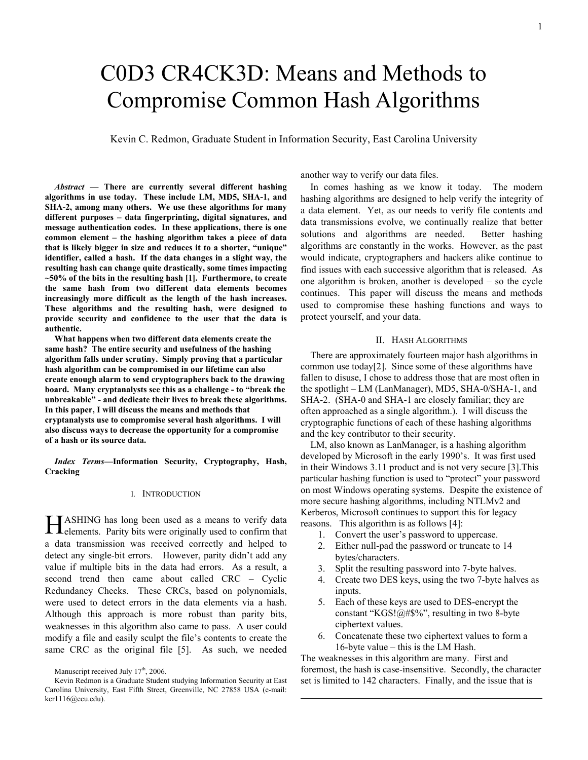# C0D3 CR4CK3D: Means and Methods to Compromise Common Hash Algorithms

Kevin C. Redmon, Graduate Student in Information Security, East Carolina University

 $\overline{a}$ 

*Abstract* **— There are currently several different hashing algorithms in use today. These include LM, MD5, SHA-1, and SHA-2, among many others. We use these algorithms for many different purposes – data fingerprinting, digital signatures, and message authentication codes. In these applications, there is one common element – the hashing algorithm takes a piece of data that is likely bigger in size and reduces it to a shorter, "unique" identifier, called a hash. If the data changes in a slight way, the resulting hash can change quite drastically, some times impacting ~50% of the bits in the resulting hash [1]. Furthermore, to create the same hash from two different data elements becomes increasingly more difficult as the length of the hash increases. These algorithms and the resulting hash, were designed to provide security and confidence to the user that the data is authentic.** 

**What happens when two different data elements create the same hash? The entire security and usefulness of the hashing algorithm falls under scrutiny. Simply proving that a particular hash algorithm can be compromised in our lifetime can also create enough alarm to send cryptographers back to the drawing board. Many cryptanalysts see this as a challenge - to "break the unbreakable" - and dedicate their lives to break these algorithms. In this paper, I will discuss the means and methods that cryptanalysts use to compromise several hash algorithms. I will also discuss ways to decrease the opportunity for a compromise of a hash or its source data.** 

*Index Terms***—Information Security, Cryptography, Hash, Cracking** 

#### I. INTRODUCTION

ASHING has long been used as a means to verify data **HASHING** has long been used as a means to verify data elements. Parity bits were originally used to confirm that a data transmission was received correctly and helped to detect any single-bit errors. However, parity didn't add any value if multiple bits in the data had errors. As a result, a second trend then came about called CRC – Cyclic Redundancy Checks. These CRCs, based on polynomials, were used to detect errors in the data elements via a hash. Although this approach is more robust than parity bits, weaknesses in this algorithm also came to pass. A user could modify a file and easily sculpt the file's contents to create the same CRC as the original file [5]. As such, we needed

another way to verify our data files.

 In comes hashing as we know it today. The modern hashing algorithms are designed to help verify the integrity of a data element. Yet, as our needs to verify file contents and data transmissions evolve, we continually realize that better solutions and algorithms are needed. Better hashing algorithms are constantly in the works. However, as the past would indicate, cryptographers and hackers alike continue to find issues with each successive algorithm that is released. As one algorithm is broken, another is developed – so the cycle continues. This paper will discuss the means and methods used to compromise these hashing functions and ways to protect yourself, and your data.

## II. HASH ALGORITHMS

 There are approximately fourteen major hash algorithms in common use today[2]. Since some of these algorithms have fallen to disuse, I chose to address those that are most often in the spotlight – LM (LanManager), MD5, SHA-0/SHA-1, and SHA-2. (SHA-0 and SHA-1 are closely familiar; they are often approached as a single algorithm.). I will discuss the cryptographic functions of each of these hashing algorithms and the key contributor to their security.

 LM, also known as LanManager, is a hashing algorithm developed by Microsoft in the early 1990's. It was first used in their Windows 3.11 product and is not very secure [3].This particular hashing function is used to "protect" your password on most Windows operating systems. Despite the existence of more secure hashing algorithms, including NTLMv2 and Kerberos, Microsoft continues to support this for legacy reasons. This algorithm is as follows [4]:

- 1. Convert the user's password to uppercase.
- 2. Either null-pad the password or truncate to 14 bytes/characters.
- 3. Split the resulting password into 7-byte halves.
- 4. Create two DES keys, using the two 7-byte halves as inputs.
- 5. Each of these keys are used to DES-encrypt the constant "KGS!@#\$%", resulting in two 8-byte ciphertext values.
- 6. Concatenate these two ciphertext values to form a 16-byte value – this is the LM Hash.

The weaknesses in this algorithm are many. First and foremost, the hash is case-insensitive. Secondly, the character set is limited to 142 characters. Finally, and the issue that is

Manuscript received July 17<sup>th</sup>, 2006.

Kevin Redmon is a Graduate Student studying Information Security at East Carolina University, East Fifth Street, Greenville, NC 27858 USA (e-mail: kcr1116@ecu.edu).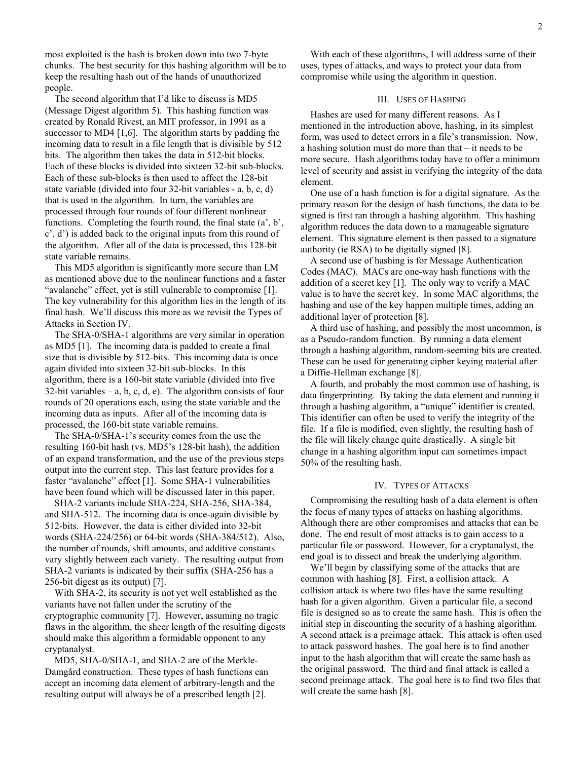most exploited is the hash is broken down into two 7-byte chunks. The best security for this hashing algorithm will be to keep the resulting hash out of the hands of unauthorized people.

 The second algorithm that I'd like to discuss is MD5 (Message Digest algorithm 5). This hashing function was created by Ronald Rivest, an MIT professor, in 1991 as a successor to MD4 [1,6]. The algorithm starts by padding the incoming data to result in a file length that is divisible by 512 bits. The algorithm then takes the data in 512-bit blocks. Each of these blocks is divided into sixteen 32-bit sub-blocks. Each of these sub-blocks is then used to affect the 128-bit state variable (divided into four 32-bit variables - a, b, c, d) that is used in the algorithm. In turn, the variables are processed through four rounds of four different nonlinear functions. Completing the fourth round, the final state (a', b', c', d') is added back to the original inputs from this round of the algorithm. After all of the data is processed, this 128-bit state variable remains.

 This MD5 algorithm is significantly more secure than LM as mentioned above due to the nonlinear functions and a faster "avalanche" effect, yet is still vulnerable to compromise [1]. The key vulnerability for this algorithm lies in the length of its final hash. We'll discuss this more as we revisit the Types of Attacks in Section IV.

 The SHA-0/SHA-1 algorithms are very similar in operation as MD5 [1]. The incoming data is padded to create a final size that is divisible by 512-bits. This incoming data is once again divided into sixteen 32-bit sub-blocks. In this algorithm, there is a 160-bit state variable (divided into five 32-bit variables – a, b, c, d, e). The algorithm consists of four rounds of 20 operations each, using the state variable and the incoming data as inputs. After all of the incoming data is processed, the 160-bit state variable remains.

 The SHA-0/SHA-1's security comes from the use the resulting 160-bit hash (vs. MD5's 128-bit hash), the addition of an expand transformation, and the use of the previous steps output into the current step. This last feature provides for a faster "avalanche" effect [1]. Some SHA-1 vulnerabilities have been found which will be discussed later in this paper.

 SHA-2 variants include SHA-224, SHA-256, SHA-384, and SHA-512. The incoming data is once-again divisible by 512-bits. However, the data is either divided into 32-bit words (SHA-224/256) or 64-bit words (SHA-384/512). Also, the number of rounds, shift amounts, and additive constants vary slightly between each variety. The resulting output from SHA-2 variants is indicated by their suffix (SHA-256 has a 256-bit digest as its output) [7].

 With SHA-2, its security is not yet well established as the variants have not fallen under the scrutiny of the cryptographic community [7]. However, assuming no tragic flaws in the algorithm, the sheer length of the resulting digests should make this algorithm a formidable opponent to any cryptanalyst.

 MD5, SHA-0/SHA-1, and SHA-2 are of the Merkle-Damgård construction. These types of hash functions can accept an incoming data element of arbitrary-length and the resulting output will always be of a prescribed length [2].

 With each of these algorithms, I will address some of their uses, types of attacks, and ways to protect your data from compromise while using the algorithm in question.

## III. USES OF HASHING

 Hashes are used for many different reasons. As I mentioned in the introduction above, hashing, in its simplest form, was used to detect errors in a file's transmission. Now, a hashing solution must do more than that – it needs to be more secure. Hash algorithms today have to offer a minimum level of security and assist in verifying the integrity of the data element.

 One use of a hash function is for a digital signature. As the primary reason for the design of hash functions, the data to be signed is first ran through a hashing algorithm. This hashing algorithm reduces the data down to a manageable signature element. This signature element is then passed to a signature authority (ie RSA) to be digitally signed [8].

 A second use of hashing is for Message Authentication Codes (MAC). MACs are one-way hash functions with the addition of a secret key [1]. The only way to verify a MAC value is to have the secret key. In some MAC algorithms, the hashing and use of the key happen multiple times, adding an additional layer of protection [8].

 A third use of hashing, and possibly the most uncommon, is as a Pseudo-random function. By running a data element through a hashing algorithm, random-seeming bits are created. These can be used for generating cipher keying material after a Diffie-Hellman exchange [8].

 A fourth, and probably the most common use of hashing, is data fingerprinting. By taking the data element and running it through a hashing algorithm, a "unique" identifier is created. This identifier can often be used to verify the integrity of the file. If a file is modified, even slightly, the resulting hash of the file will likely change quite drastically. A single bit change in a hashing algorithm input can sometimes impact 50% of the resulting hash.

## IV. TYPES OF ATTACKS

 Compromising the resulting hash of a data element is often the focus of many types of attacks on hashing algorithms. Although there are other compromises and attacks that can be done. The end result of most attacks is to gain access to a particular file or password. However, for a cryptanalyst, the end goal is to dissect and break the underlying algorithm.

 We'll begin by classifying some of the attacks that are common with hashing [8]. First, a collision attack. A collision attack is where two files have the same resulting hash for a given algorithm. Given a particular file, a second file is designed so as to create the same hash. This is often the initial step in discounting the security of a hashing algorithm. A second attack is a preimage attack. This attack is often used to attack password hashes. The goal here is to find another input to the hash algorithm that will create the same hash as the original password. The third and final attack is called a second preimage attack. The goal here is to find two files that will create the same hash [8].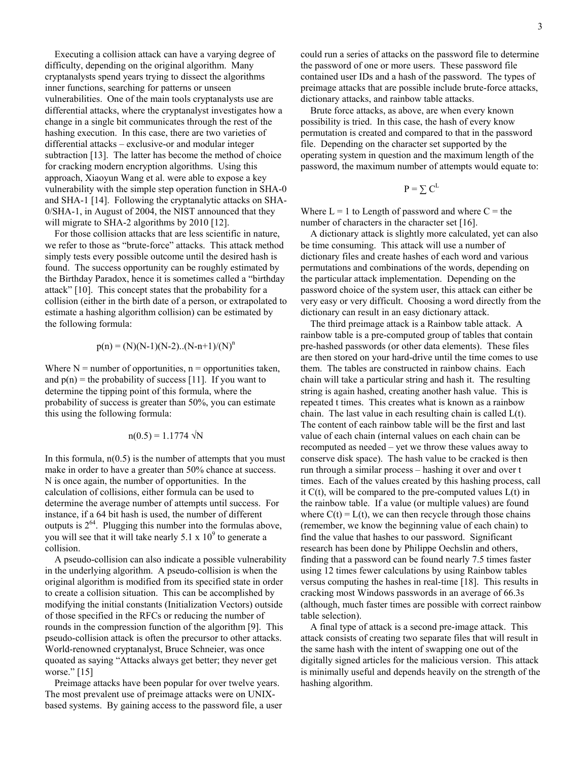Executing a collision attack can have a varying degree of difficulty, depending on the original algorithm. Many cryptanalysts spend years trying to dissect the algorithms inner functions, searching for patterns or unseen vulnerabilities. One of the main tools cryptanalysts use are differential attacks, where the cryptanalyst investigates how a change in a single bit communicates through the rest of the hashing execution. In this case, there are two varieties of differential attacks – exclusive-or and modular integer subtraction [13]. The latter has become the method of choice for cracking modern encryption algorithms. Using this approach, Xiaoyun Wang et al. were able to expose a key vulnerability with the simple step operation function in SHA-0 and SHA-1 [14]. Following the cryptanalytic attacks on SHA-0/SHA-1, in August of 2004, the NIST announced that they will migrate to SHA-2 algorithms by 2010 [12].

 For those collision attacks that are less scientific in nature, we refer to those as "brute-force" attacks. This attack method simply tests every possible outcome until the desired hash is found. The success opportunity can be roughly estimated by the Birthday Paradox, hence it is sometimes called a "birthday attack" [10]. This concept states that the probability for a collision (either in the birth date of a person, or extrapolated to estimate a hashing algorithm collision) can be estimated by the following formula:

$$
p(n) = (N)(N-1)(N-2)...(N-n+1)/(N)^n
$$

Where  $N =$  number of opportunities,  $n =$  opportunities taken, and  $p(n)$  = the probability of success [11]. If you want to determine the tipping point of this formula, where the probability of success is greater than 50%, you can estimate this using the following formula:

$$
n(0.5) = 1.1774 \sqrt{N}
$$

In this formula,  $n(0.5)$  is the number of attempts that you must make in order to have a greater than 50% chance at success. N is once again, the number of opportunities. In the calculation of collisions, either formula can be used to determine the average number of attempts until success. For instance, if a 64 bit hash is used, the number of different outputs is  $2^{64}$ . Plugging this number into the formulas above, you will see that it will take nearly  $5.1 \times 10^9$  to generate a collision.

 A pseudo-collision can also indicate a possible vulnerability in the underlying algorithm. A pseudo-collision is when the original algorithm is modified from its specified state in order to create a collision situation. This can be accomplished by modifying the initial constants (Initialization Vectors) outside of those specified in the RFCs or reducing the number of rounds in the compression function of the algorithm [9]. This pseudo-collision attack is often the precursor to other attacks. World-renowned cryptanalyst, Bruce Schneier, was once quoated as saying "Attacks always get better; they never get worse." [15]

 Preimage attacks have been popular for over twelve years. The most prevalent use of preimage attacks were on UNIXbased systems. By gaining access to the password file, a user could run a series of attacks on the password file to determine the password of one or more users. These password file contained user IDs and a hash of the password. The types of preimage attacks that are possible include brute-force attacks, dictionary attacks, and rainbow table attacks.

 Brute force attacks, as above, are when every known possibility is tried. In this case, the hash of every know permutation is created and compared to that in the password file. Depending on the character set supported by the operating system in question and the maximum length of the password, the maximum number of attempts would equate to:

$$
\mathrm{P}=\sum \mathrm{C}^{\mathrm{L}}
$$

Where  $L = 1$  to Length of password and where  $C =$  the number of characters in the character set [16].

 A dictionary attack is slightly more calculated, yet can also be time consuming. This attack will use a number of dictionary files and create hashes of each word and various permutations and combinations of the words, depending on the particular attack implementation. Depending on the password choice of the system user, this attack can either be very easy or very difficult. Choosing a word directly from the dictionary can result in an easy dictionary attack.

 The third preimage attack is a Rainbow table attack. A rainbow table is a pre-computed group of tables that contain pre-hashed passwords (or other data elements). These files are then stored on your hard-drive until the time comes to use them. The tables are constructed in rainbow chains. Each chain will take a particular string and hash it. The resulting string is again hashed, creating another hash value. This is repeated t times. This creates what is known as a rainbow chain. The last value in each resulting chain is called L(t). The content of each rainbow table will be the first and last value of each chain (internal values on each chain can be recomputed as needed – yet we throw these values away to conserve disk space). The hash value to be cracked is then run through a similar process – hashing it over and over t times. Each of the values created by this hashing process, call it  $C(t)$ , will be compared to the pre-computed values  $L(t)$  in the rainbow table. If a value (or multiple values) are found where  $C(t) = L(t)$ , we can then recycle through those chains (remember, we know the beginning value of each chain) to find the value that hashes to our password. Significant research has been done by Philippe Oechslin and others, finding that a password can be found nearly 7.5 times faster using 12 times fewer calculations by using Rainbow tables versus computing the hashes in real-time [18]. This results in cracking most Windows passwords in an average of 66.3s (although, much faster times are possible with correct rainbow table selection).

 A final type of attack is a second pre-image attack. This attack consists of creating two separate files that will result in the same hash with the intent of swapping one out of the digitally signed articles for the malicious version. This attack is minimally useful and depends heavily on the strength of the hashing algorithm.